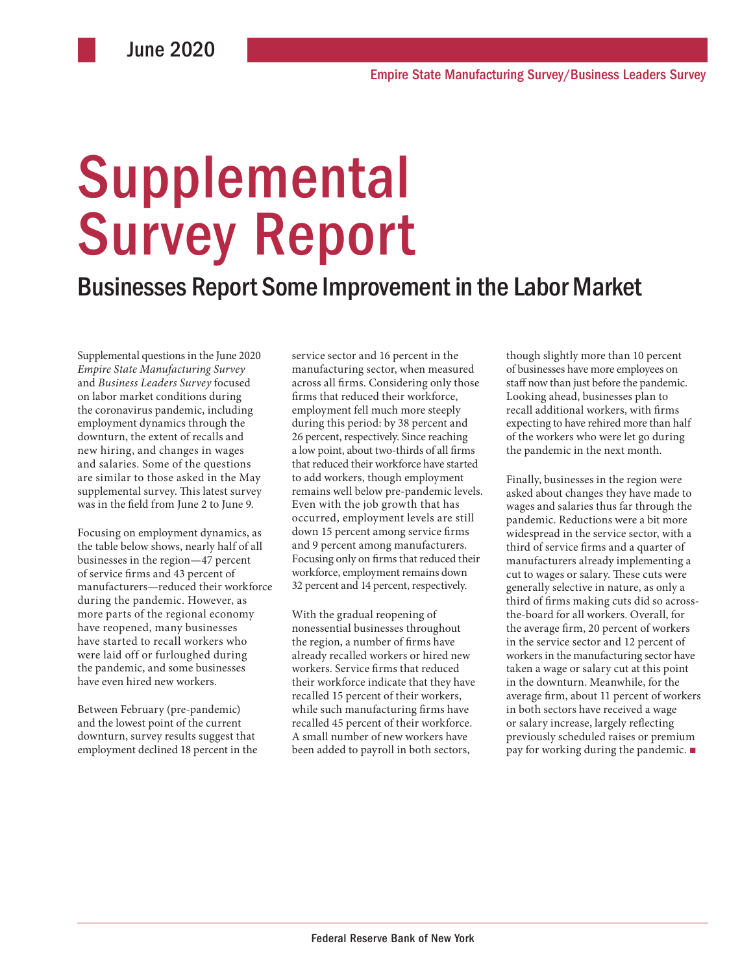# Supplemental Survey Report

## Businesses Report Some Improvement in the Labor Market

Supplemental questions in the June 2020 *Empire State Manufacturing Survey* and *Business Leaders Survey* focused on labor market conditions during the coronavirus pandemic, including employment dynamics through the downturn, the extent of recalls and new hiring, and changes in wages and salaries. Some of the questions are similar to those asked in the May supplemental survey. This latest survey was in the field from June 2 to June 9.

Focusing on employment dynamics, as the table below shows, nearly half of all businesses in the region—47 percent of service firms and 43 percent of manufacturers—reduced their workforce during the pandemic. However, as more parts of the regional economy have reopened, many businesses have started to recall workers who were laid off or furloughed during the pandemic, and some businesses have even hired new workers.

Between February (pre-pandemic) and the lowest point of the current downturn, survey results suggest that employment declined 18 percent in the service sector and 16 percent in the manufacturing sector, when measured across all firms. Considering only those firms that reduced their workforce, employment fell much more steeply during this period: by 38 percent and 26 percent, respectively. Since reaching a low point, about two-thirds of all firms that reduced their workforce have started to add workers, though employment remains well below pre-pandemic levels. Even with the job growth that has occurred, employment levels are still down 15 percent among service firms and 9 percent among manufacturers. Focusing only on firms that reduced their workforce, employment remains down 32 percent and 14 percent, respectively.

With the gradual reopening of nonessential businesses throughout the region, a number of firms have already recalled workers or hired new workers. Service firms that reduced their workforce indicate that they have recalled 15 percent of their workers, while such manufacturing firms have recalled 45 percent of their workforce. A small number of new workers have been added to payroll in both sectors,

though slightly more than 10 percent of businesses have more employees on staff now than just before the pandemic. Looking ahead, businesses plan to recall additional workers, with firms expecting to have rehired more than half of the workers who were let go during the pandemic in the next month.

Finally, businesses in the region were asked about changes they have made to wages and salaries thus far through the pandemic. Reductions were a bit more widespread in the service sector, with a third of service firms and a quarter of manufacturers already implementing a cut to wages or salary. These cuts were generally selective in nature, as only a third of firms making cuts did so acrossthe-board for all workers. Overall, for the average firm, 20 percent of workers in the service sector and 12 percent of workers in the manufacturing sector have taken a wage or salary cut at this point in the downturn. Meanwhile, for the average firm, about 11 percent of workers in both sectors have received a wage or salary increase, largely reflecting previously scheduled raises or premium pay for working during the pandemic. ■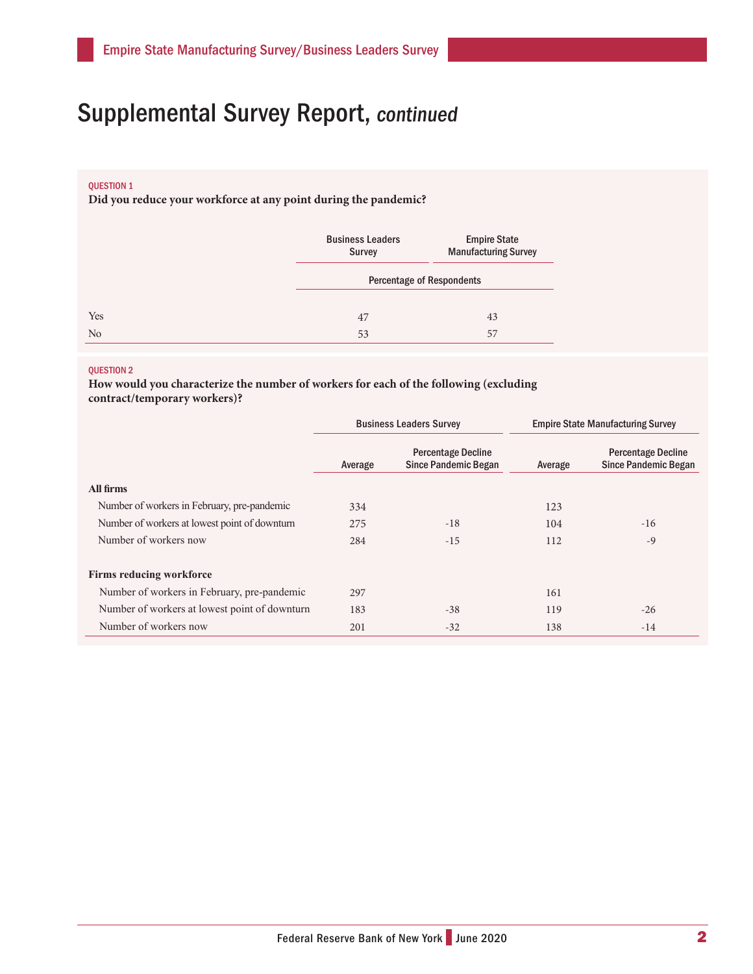# Supplemental Survey Report, continued

### QUESTION 1

**Did you reduce your workforce at any point during the pandemic?**

|                | <b>Business Leaders</b><br><b>Survey</b> | <b>Empire State</b><br><b>Manufacturing Survey</b> |  |  |
|----------------|------------------------------------------|----------------------------------------------------|--|--|
|                |                                          | <b>Percentage of Respondents</b>                   |  |  |
| Yes            | 47                                       | 43                                                 |  |  |
| N <sub>o</sub> | 53                                       | 57                                                 |  |  |

#### QUESTION 2

**How would you characterize the number of workers for each of the following (excluding contract/temporary workers)?**

|                                               | <b>Business Leaders Survey</b> |                                                          | <b>Empire State Manufacturing Survey</b> |                                                          |
|-----------------------------------------------|--------------------------------|----------------------------------------------------------|------------------------------------------|----------------------------------------------------------|
|                                               | Average                        | <b>Percentage Decline</b><br><b>Since Pandemic Began</b> | Average                                  | <b>Percentage Decline</b><br><b>Since Pandemic Began</b> |
| All firms                                     |                                |                                                          |                                          |                                                          |
| Number of workers in February, pre-pandemic   | 334                            |                                                          | 123                                      |                                                          |
| Number of workers at lowest point of downturn | 275                            | $-18$                                                    | 104                                      | $-16$                                                    |
| Number of workers now                         | 284                            | $-15$                                                    | 112                                      | $-9$                                                     |
| <b>Firms reducing workforce</b>               |                                |                                                          |                                          |                                                          |
| Number of workers in February, pre-pandemic   | 297                            |                                                          | 161                                      |                                                          |
| Number of workers at lowest point of downturn | 183                            | $-38$                                                    | 119                                      | $-26$                                                    |
| Number of workers now                         | 201                            | $-32$                                                    | 138                                      | $-14$                                                    |